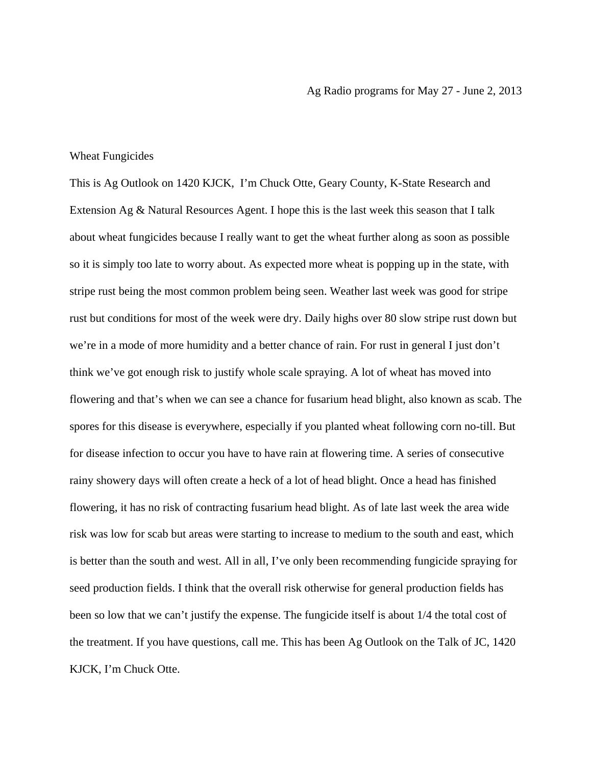## Wheat Fungicides

This is Ag Outlook on 1420 KJCK, I'm Chuck Otte, Geary County, K-State Research and Extension Ag & Natural Resources Agent. I hope this is the last week this season that I talk about wheat fungicides because I really want to get the wheat further along as soon as possible so it is simply too late to worry about. As expected more wheat is popping up in the state, with stripe rust being the most common problem being seen. Weather last week was good for stripe rust but conditions for most of the week were dry. Daily highs over 80 slow stripe rust down but we're in a mode of more humidity and a better chance of rain. For rust in general I just don't think we've got enough risk to justify whole scale spraying. A lot of wheat has moved into flowering and that's when we can see a chance for fusarium head blight, also known as scab. The spores for this disease is everywhere, especially if you planted wheat following corn no-till. But for disease infection to occur you have to have rain at flowering time. A series of consecutive rainy showery days will often create a heck of a lot of head blight. Once a head has finished flowering, it has no risk of contracting fusarium head blight. As of late last week the area wide risk was low for scab but areas were starting to increase to medium to the south and east, which is better than the south and west. All in all, I've only been recommending fungicide spraying for seed production fields. I think that the overall risk otherwise for general production fields has been so low that we can't justify the expense. The fungicide itself is about 1/4 the total cost of the treatment. If you have questions, call me. This has been Ag Outlook on the Talk of JC, 1420 KJCK, I'm Chuck Otte.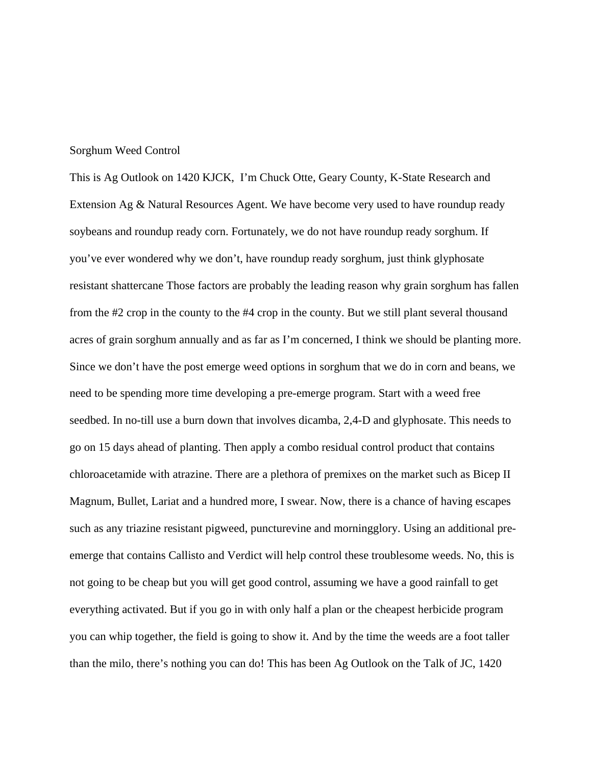## Sorghum Weed Control

This is Ag Outlook on 1420 KJCK, I'm Chuck Otte, Geary County, K-State Research and Extension Ag & Natural Resources Agent. We have become very used to have roundup ready soybeans and roundup ready corn. Fortunately, we do not have roundup ready sorghum. If you've ever wondered why we don't, have roundup ready sorghum, just think glyphosate resistant shattercane Those factors are probably the leading reason why grain sorghum has fallen from the #2 crop in the county to the #4 crop in the county. But we still plant several thousand acres of grain sorghum annually and as far as I'm concerned, I think we should be planting more. Since we don't have the post emerge weed options in sorghum that we do in corn and beans, we need to be spending more time developing a pre-emerge program. Start with a weed free seedbed. In no-till use a burn down that involves dicamba, 2,4-D and glyphosate. This needs to go on 15 days ahead of planting. Then apply a combo residual control product that contains chloroacetamide with atrazine. There are a plethora of premixes on the market such as Bicep II Magnum, Bullet, Lariat and a hundred more, I swear. Now, there is a chance of having escapes such as any triazine resistant pigweed, puncturevine and morningglory. Using an additional preemerge that contains Callisto and Verdict will help control these troublesome weeds. No, this is not going to be cheap but you will get good control, assuming we have a good rainfall to get everything activated. But if you go in with only half a plan or the cheapest herbicide program you can whip together, the field is going to show it. And by the time the weeds are a foot taller than the milo, there's nothing you can do! This has been Ag Outlook on the Talk of JC, 1420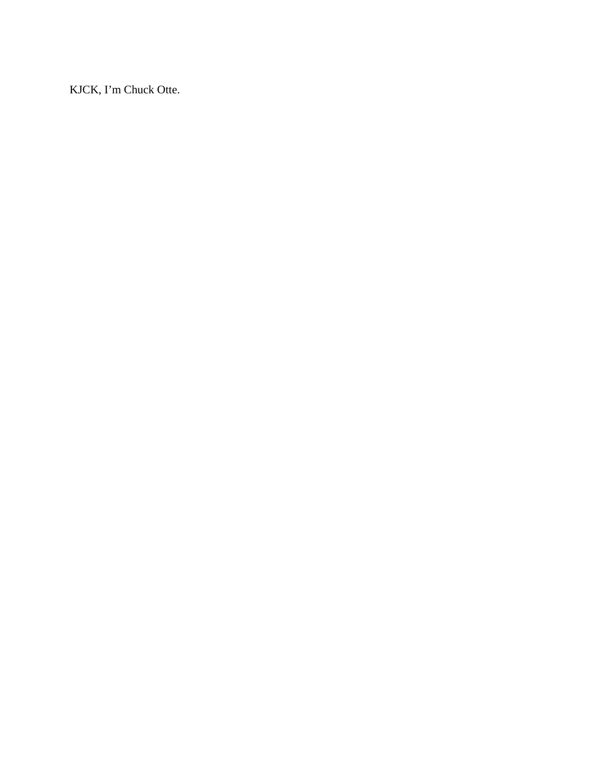KJCK, I'm Chuck Otte.